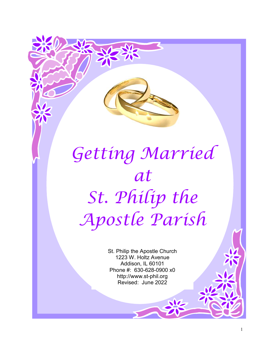# Getting Married at St. Philip the Apostle Parish

St. Philip the Apostle Church 1223 W. Holtz Avenue Addison, IL 60101 Phone #: 630-628-0900 x0 http://www.st-phil.org Revised: June 2022

1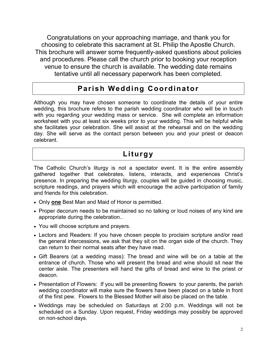Congratulations on your approaching marriage, and thank you for choosing to celebrate this sacrament at St. Philip the Apostle Church. This brochure will answer some frequently-asked questions about policies and procedures. Please call the church prior to booking your reception venue to ensure the church is available. The wedding date remains tentative until all necessary paperwork has been completed.

#### Parish Wedding Coordinator

Although you may have chosen someone to coordinate the details of your entire wedding, this brochure refers to the parish wedding coordinator who will be in touch with you regarding your wedding mass or service. She will complete an information worksheet with you at least six weeks prior to your wedding. This will be helpful while she facilitates your celebration. She will assist at the rehearsal and on the wedding day. She will serve as the contact person between you and your priest or deacon celebrant.

## **Liturgy**

The Catholic Church's liturgy is not a spectator event. It is the entire assembly gathered together that celebrates, listens, interacts, and experiences Christ's presence. In preparing the wedding liturgy, couples will be guided in choosing music, scripture readings, and prayers which will encourage the active participation of family and friends for this celebration.

- Only one Best Man and Maid of Honor is permitted.
- Proper decorum needs to be maintained so no talking or loud noises of any kind are appropriate during the celebration..
- You will choose scripture and prayers.
- Lectors and Readers: If you have chosen people to proclaim scripture and/or read the general intercessions, we ask that they sit on the organ side of the church. They can return to their normal seats after they have read.
- Gift Bearers (at a wedding mass): The bread and wine will be on a table at the entrance of church. Those who will present the bread and wine should sit near the center aisle. The presenters will hand the gifts of bread and wine to the priest or deacon.
- Presentation of Flowers: If you will be presenting flowers to your parents, the parish wedding coordinator will make sure the flowers have been placed on a table in front of the first pew. Flowers to the Blessed Mother will also be placed on the table.
- Weddings may be scheduled on Saturdays at 2:00 p.m. Weddings will not be scheduled on a Sunday. Upon request, Friday weddings may possibly be approved on non-school days.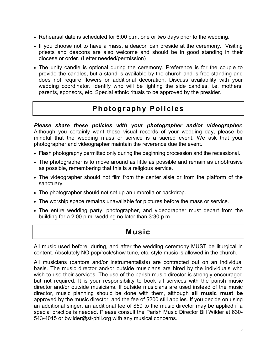- Rehearsal date is scheduled for 6:00 p.m. one or two days prior to the wedding.
- If you choose not to have a mass, a deacon can preside at the ceremony. Visiting priests and deacons are also welcome and should be in good standing in their diocese or order. (Letter needed/permission)
- The unity candle is optional during the ceremony. Preference is for the couple to provide the candles, but a stand is available by the church and is free-standing and does not require flowers or additional decoration. Discuss availability with your wedding coordinator. Identify who will be lighting the side candles, i.e. mothers, parents, sponsors, etc. Special ethnic rituals to be approved by the presider.

# Photography Policies

Please share these policies with your photographer and/or videographer. Although you certainly want these visual records of your wedding day, please be mindful that the wedding mass or service is a sacred event. We ask that your photographer and videographer maintain the reverence due the event.

- Flash photography permitted only during the beginning procession and the recessional.
- The photographer is to move around as little as possible and remain as unobtrusive as possible, remembering that this is a religious service.
- The videographer should not film from the center aisle or from the platform of the sanctuary.
- The photographer should not set up an umbrella or backdrop.
- The worship space remains unavailable for pictures before the mass or service.
- The entire wedding party, photographer, and videographer must depart from the building for a 2:00 p.m. wedding no later than 3:30 p.m.

#### Music

All music used before, during, and after the wedding ceremony MUST be liturgical in content. Absolutely NO pop/rock/show tune, etc. style music is allowed in the church.

All musicians (cantors and/or instrumentalists) are contracted out on an individual basis. The music director and/or outside musicians are hired by the individuals who wish to use their services. The use of the parish music director is strongly encouraged but not required. It is your responsibility to book all services with the parish music director and/or outside musicians. If outside musicians are used instead of the music director, music planning should be done with them, although all music must be approved by the music director, and the fee of \$200 still applies. If you decide on using an additional singer, an additional fee of \$50 to the music director may be applied if a special practice is needed. Please consult the Parish Music Director Bill Wilder at 630- 543-4015 or bwilder@st-phil.org with any musical concerns.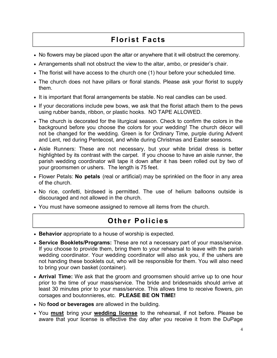# Florist Facts

- No flowers may be placed upon the altar or anywhere that it will obstruct the ceremony.
- Arrangements shall not obstruct the view to the altar, ambo, or presider's chair.
- The florist will have access to the church one (1) hour before your scheduled time.
- The church does not have pillars or floral stands. Please ask your florist to supply them.
- It is important that floral arrangements be stable. No real candles can be used.
- If your decorations include pew bows, we ask that the florist attach them to the pews using rubber bands, ribbon, or plastic hooks. NO TAPE ALLOWED.
- The church is decorated for the liturgical season. Check to confirm the colors in the background before you choose the colors for your wedding! The church décor will not be changed for the wedding. Green is for Ordinary Time, purple during Advent and Lent, red during Pentecost, and white during Christmas and Easter seasons.
- Aisle Runners: These are not necessary, but your white bridal dress is better highlighted by its contrast with the carpet. If you choose to have an aisle runner, the parish wedding coordinator will tape it down after it has been rolled out by two of your groomsmen or ushers. The length is 75 feet.
- Flower Petals: No petals (real or artificial) may be sprinkled on the floor in any area of the church.
- No rice, confetti, birdseed is permitted. The use of helium balloons outside is discouraged and not allowed in the church.
- You must have someone assigned to remove all items from the church.

### Other Policies

- Behavior appropriate to a house of worship is expected.
- Service Booklets/Programs: These are not a necessary part of your mass/service. If you choose to provide them, bring them to your rehearsal to leave with the parish wedding coordinator. Your wedding coordinator will also ask you, if the ushers are not handing these booklets out, who will be responsible for them. You will also need to bring your own basket (container).
- Arrival Time: We ask that the groom and groomsmen should arrive up to one hour prior to the time of your mass/service. The bride and bridesmaids should arrive at least 30 minutes prior to your mass/service. This allows time to receive flowers, pin corsages and boutonnieres, etc. PLEASE BE ON TIME!
- No food or beverages are allowed in the building.
- You **must** bring your **wedding license** to the rehearsal, if not before. Please be aware that your license is effective the day after you receive it from the DuPage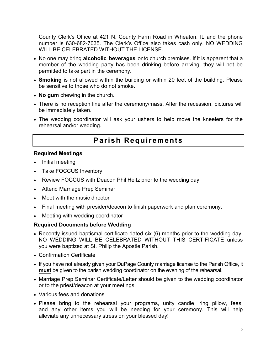County Clerk's Office at 421 N. County Farm Road in Wheaton, IL and the phone number is 630-682-7035. The Clerk's Office also takes cash only. NO WEDDING WILL BE CELEBRATED WITHOUT THE LICENSE.

- No one may bring alcoholic beverages onto church premises. If it is apparent that a member of the wedding party has been drinking before arriving, they will not be permitted to take part in the ceremony.
- Smoking is not allowed within the building or within 20 feet of the building. Please be sensitive to those who do not smoke.
- No gum chewing in the church.
- There is no reception line after the ceremony/mass. After the recession, pictures will be immediately taken.
- The wedding coordinator will ask your ushers to help move the kneelers for the rehearsal and/or wedding.

#### Parish Requirements

#### Required Meetings

- $\bullet$  Initial meeting
- Take FOCCUS Inventory
- Review FOCCUS with Deacon Phil Heitz prior to the wedding day.
- Attend Marriage Prep Seminar
- Meet with the music director
- Final meeting with presider/deacon to finish paperwork and plan ceremony.
- Meeting with wedding coordinator

#### Required Documents before Wedding

- Recently issued baptismal certificate dated six (6) months prior to the wedding day. NO WEDDING WILL BE CELEBRATED WITHOUT THIS CERTIFICATE unless you were baptized at St. Philip the Apostle Parish.
- Confirmation Certificate
- If you have not already given your DuPage County marriage license to the Parish Office, it must be given to the parish wedding coordinator on the evening of the rehearsal.
- Marriage Prep Seminar Certificate/Letter should be given to the wedding coordinator or to the priest/deacon at your meetings.
- Various fees and donations
- Please bring to the rehearsal your programs, unity candle, ring pillow, fees, and any other items you will be needing for your ceremony. This will help alleviate any unnecessary stress on your blessed day!